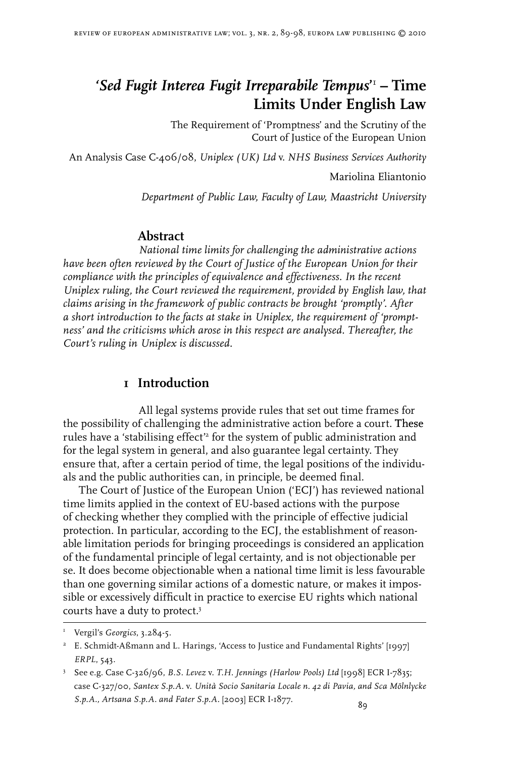# *'Sed Fugit Interea Fugit Irreparabile Tempus***' – Time Limits Under English Law**

The Requirement of 'Promptness' and the Scrutiny of the Court of Justice of the European Union

An Analysis Case C-406/08, *Uniplex (UK) Ltd* v. *NHS Business Services Authority*

Mariolina Eliantonio

*Department of Public Law, Faculty of Law, Maastricht University*

#### **Abstract**

*National time limits for challenging the administrative actions have been often reviewed by the Court of Justice of the European Union for their compliance with the principles of equivalence and effectiveness. In the recent Uniplex ruling, the Court reviewed the requirement, provided by English law, that claims arising in the framework of public contracts be brought 'promptly'. After a short introduction to the facts at stake in Uniplex, the requirement of 'promptness' and the criticisms which arose in this respect are analysed. Thereafter, the Court's ruling in Uniplex is discussed.*

#### **1 Introduction**

All legal systems provide rules that set out time frames for the possibility of challenging the administrative action before a court. These rules have a 'stabilising effect'<sup>2</sup> for the system of public administration and for the legal system in general, and also guarantee legal certainty. They ensure that, after a certain period of time, the legal positions of the individuals and the public authorities can, in principle, be deemed final.

The Court of Justice of the European Union ('ECJ') has reviewed national time limits applied in the context of EU-based actions with the purpose of checking whether they complied with the principle of effective judicial protection. In particular, according to the ECJ, the establishment of reasonable limitation periods for bringing proceedings is considered an application of the fundamental principle of legal certainty, and is not objectionable per se. It does become objectionable when a national time limit is less favourable than one governing similar actions of a domestic nature, or makes it impossible or excessively difficult in practice to exercise EU rights which national courts have a duty to protect.

 Vergil's *Georgics*, 3.284-5.

 E. Schmidt-Aßmann and L. Harings, 'Access to Justice and Fundamental Rights' [1997] *ERPL*, 543.

 See e.g. Case C-326/96, *B.S. Levez* v. *T.H. Jennings (Harlow Pools) Ltd* [1998] ECR I-7835; case C-327/00, *Santex S.p.A.* v. *Unità Socio Sanitaria Locale n. 42 di Pavia, and Sca Mölnlycke S.p.A., Artsana S.p.A. and Fater S.p.A.* [2003] ECR I-1877.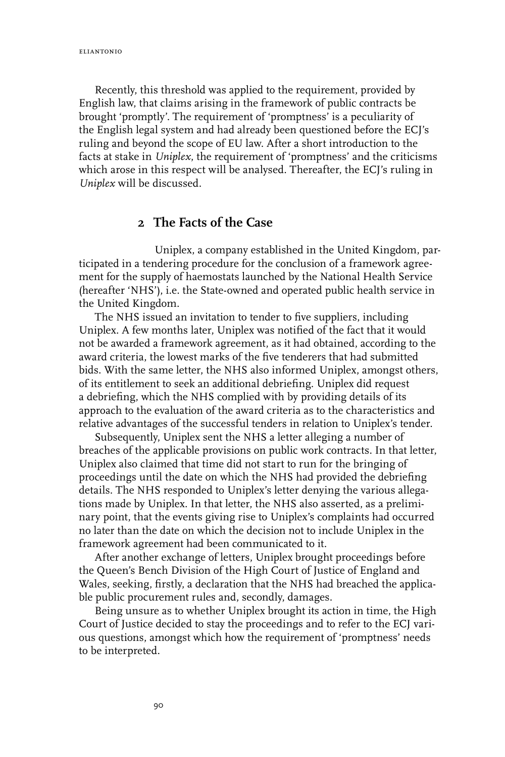eliantonio

Recently, this threshold was applied to the requirement, provided by English law, that claims arising in the framework of public contracts be brought 'promptly'. The requirement of 'promptness' is a peculiarity of the English legal system and had already been questioned before the ECJ's ruling and beyond the scope of EU law. After a short introduction to the facts at stake in *Uniplex*, the requirement of 'promptness' and the criticisms which arose in this respect will be analysed. Thereafter, the ECJ's ruling in *Uniplex* will be discussed.

# **2 The Facts of the Case**

Uniplex, a company established in the United Kingdom, participated in a tendering procedure for the conclusion of a framework agreement for the supply of haemostats launched by the National Health Service (hereafter 'NHS'), i.e. the State-owned and operated public health service in the United Kingdom.

The NHS issued an invitation to tender to five suppliers, including Uniplex. A few months later, Uniplex was notified of the fact that it would not be awarded a framework agreement, as it had obtained, according to the award criteria, the lowest marks of the five tenderers that had submitted bids. With the same letter, the NHS also informed Uniplex, amongst others, of its entitlement to seek an additional debriefing. Uniplex did request a debriefing, which the NHS complied with by providing details of its approach to the evaluation of the award criteria as to the characteristics and relative advantages of the successful tenders in relation to Uniplex's tender.

Subsequently, Uniplex sent the NHS a letter alleging a number of breaches of the applicable provisions on public work contracts. In that letter, Uniplex also claimed that time did not start to run for the bringing of proceedings until the date on which the NHS had provided the debriefing details. The NHS responded to Uniplex's letter denying the various allegations made by Uniplex. In that letter, the NHS also asserted, as a preliminary point, that the events giving rise to Uniplex's complaints had occurred no later than the date on which the decision not to include Uniplex in the framework agreement had been communicated to it.

After another exchange of letters, Uniplex brought proceedings before the Queen's Bench Division of the High Court of Justice of England and Wales, seeking, firstly, a declaration that the NHS had breached the applicable public procurement rules and, secondly, damages.

Being unsure as to whether Uniplex brought its action in time, the High Court of Justice decided to stay the proceedings and to refer to the ECJ various questions, amongst which how the requirement of 'promptness' needs to be interpreted.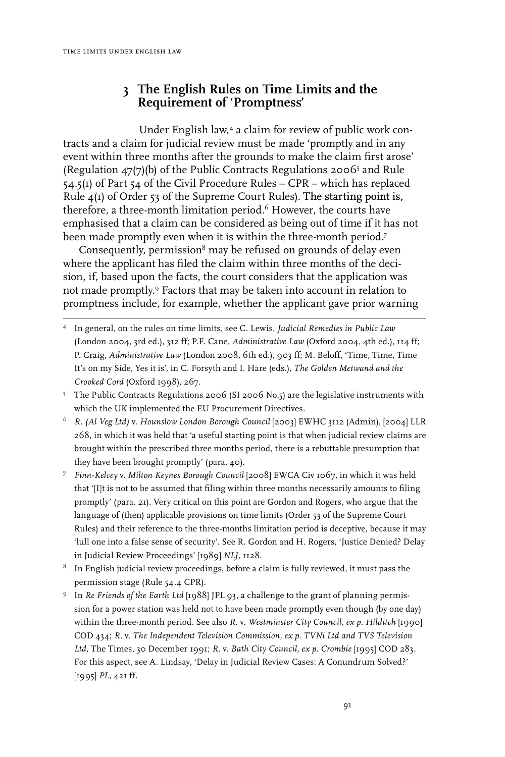### **3 The English Rules on Time Limits and the Requirement of 'Promptness'**

Under English law,<sup>4</sup> a claim for review of public work contracts and a claim for judicial review must be made 'promptly and in any event within three months after the grounds to make the claim first arose' (Regulation  $47(7)(b)$ ) of the Public Contracts Regulations 2006<sup>5</sup> and Rule 54.5(1) of Part 54 of the Civil Procedure Rules – CPR – which has replaced Rule  $4(I)$  of Order 53 of the Supreme Court Rules). The starting point is, therefore, a three-month limitation period.<sup>6</sup> However, the courts have emphasised that a claim can be considered as being out of time if it has not been made promptly even when it is within the three-month period.<sup>7</sup>

Consequently, permission<sup>8</sup> may be refused on grounds of delay even where the applicant has filed the claim within three months of the decision, if, based upon the facts, the court considers that the application was not made promptly. Factors that may be taken into account in relation to promptness include, for example, whether the applicant gave prior warning

- In general, on the rules on time limits, see C. Lewis, *Judicial Remedies in Public Law*  (London 2004, 3rd ed.), 312 ff; P.F. Cane, *Administrative Law* (Oxford 2004, 4th ed.), 114 ff; P. Craig, *Administrative Law* (London 2008, 6th ed.), 903 ff; M. Beloff, 'Time, Time, Time It's on my Side, Yes it is', in C. Forsyth and I. Hare (eds.), *The Golden Metwand and the Crooked Cord* (Oxford 1998), 267.
- The Public Contracts Regulations 2006 (SI 2006 No.5) are the legislative instruments with which the UK implemented the EU Procurement Directives.
- *R. (Al Veg Ltd)* v. *Hounslow London Borough Council* [2003] EWHC 3112 (Admin), [2004] LLR 268, in which it was held that 'a useful starting point is that when judicial review claims are brought within the prescribed three months period, there is a rebuttable presumption that they have been brought promptly' (para. 40).
- *Finn-Kelcey* v. *Milton Keynes Borough Council* [2008] EWCA Civ 1067, in which it was held that '[I]t is not to be assumed that filing within three months necessarily amounts to filing promptly' (para. 21). Very critical on this point are Gordon and Rogers, who argue that the language of (then) applicable provisions on time limits (Order 53 of the Supreme Court Rules) and their reference to the three-months limitation period is deceptive, because it may 'lull one into a false sense of security'. See R. Gordon and H. Rogers, 'Justice Denied? Delay in Judicial Review Proceedings' [1989] *NLJ*, 1128.
- $8$  In English judicial review proceedings, before a claim is fully reviewed, it must pass the permission stage (Rule 54.4 CPR).
- <sup>9</sup> In *Re Friends of the Earth Ltd* [1988] JPL 93, a challenge to the grant of planning permission for a power station was held not to have been made promptly even though (by one day) within the three-month period. See also R. v. *Westminster City Council, ex p. Hilditch* [1990] COD 434; *R.* v. *The Independent Television Commission, ex p. TVNi Ltd and TVS Television Ltd*, The Times, 30 December 1991; *R.* v. *Bath City Council, ex p. Crombie* [1995] COD 283. For this aspect, see A. Lindsay, 'Delay in Judicial Review Cases: A Conundrum Solved?' [1995] *PL*, 421 ff.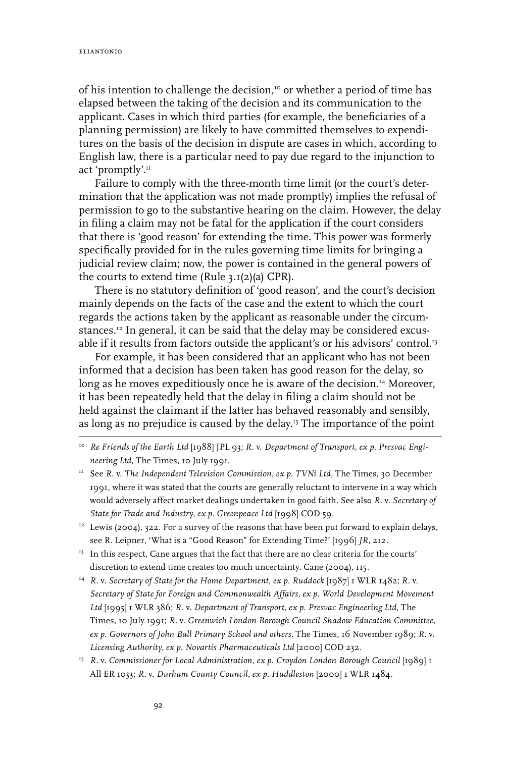of his intention to challenge the decision,<sup>10</sup> or whether a period of time has elapsed between the taking of the decision and its communication to the applicant. Cases in which third parties (for example, the beneficiaries of a planning permission) are likely to have committed themselves to expenditures on the basis of the decision in dispute are cases in which, according to English law, there is a particular need to pay due regard to the injunction to act 'promptly'.<sup>11</sup>

Failure to comply with the three-month time limit (or the court's determination that the application was not made promptly) implies the refusal of permission to go to the substantive hearing on the claim. However, the delay in filing a claim may not be fatal for the application if the court considers that there is 'good reason' for extending the time. This power was formerly specifically provided for in the rules governing time limits for bringing a judicial review claim; now, the power is contained in the general powers of the courts to extend time (Rule  $3.1(2)(a)$  CPR).

There is no statutory definition of 'good reason', and the court's decision mainly depends on the facts of the case and the extent to which the court regards the actions taken by the applicant as reasonable under the circumstances.<sup>12</sup> In general, it can be said that the delay may be considered excusable if it results from factors outside the applicant's or his advisors' control.<sup>13</sup>

For example, it has been considered that an applicant who has not been informed that a decision has been taken has good reason for the delay, so long as he moves expeditiously once he is aware of the decision.14 Moreover, it has been repeatedly held that the delay in filing a claim should not be held against the claimant if the latter has behaved reasonably and sensibly, as long as no prejudice is caused by the delay.15 The importance of the point

- <sup>13</sup> In this respect, Cane argues that the fact that there are no clear criteria for the courts' discretion to extend time creates too much uncertainty. Cane (2004), 115.
- 14 *R.* v. *Secretary of State for the Home Department, ex p. Ruddock* [1987] 1 WLR 1482; *R.* v. *Secretary of State for Foreign and Commonwealth Affairs, ex p. World Development Movement Ltd* [1995] 1 WLR 386; *R.* v. *Department of Transport, ex p. Presvac Engineering Ltd*, The Times, 10 July 1991; *R.* v. *Greenwich London Borough Council Shadow Education Committee, ex p. Governors of John Ball Primary School and others*, The Times, 16 November 1989; *R.* v. *Licensing Authority, ex p. Novartis Pharmaceuticals Ltd* [2000] COD 232.
- <sup>15</sup> R. v. Commissioner for Local Administration, ex p. Croydon London Borough Council [1989] 1 All ER 1033; *R.* v. *Durham County Council, ex p. Huddleston* [2000] 1 WLR 1484.

<sup>10</sup> *Re Friends of the Earth Ltd* [1988] JPL 93; *R.* v. *Department of Transport, ex p. Presvac Engineering Ltd*, The Times, 10 July 1991.

<sup>&</sup>lt;sup>11</sup> See R. v. *The Independent Television Commission, ex p. TVNi Ltd*, The Times, 30 December 1991, where it was stated that the courts are generally reluctant to intervene in a way which would adversely affect market dealings undertaken in good faith. See also *R.* v. *Secretary of State for Trade and Industry, ex p. Greenpeace Ltd* [1998] COD 59.

<sup>&</sup>lt;sup>12</sup> Lewis (2004), 322. For a survey of the reasons that have been put forward to explain delays, see R. Leipner, 'What is a "Good Reason" for Extending Time?' [1996] *JR*, 212.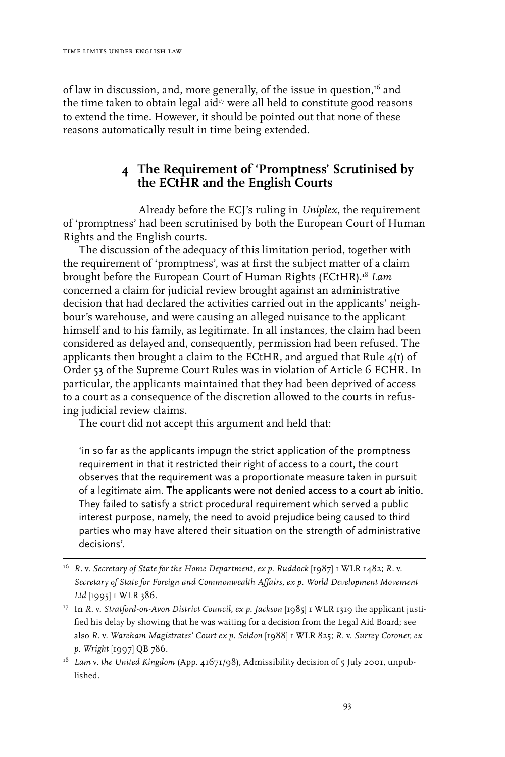of law in discussion, and, more generally, of the issue in question, $16$  and the time taken to obtain legal aid $^{\scriptscriptstyle 17}$  were all held to constitute good reasons to extend the time. However, it should be pointed out that none of these reasons automatically result in time being extended.

# **4 The Requirement of 'Promptness' Scrutinised by the ECtHR and the English Courts**

Already before the ECJ's ruling in *Uniplex*, the requirement of 'promptness' had been scrutinised by both the European Court of Human Rights and the English courts.

The discussion of the adequacy of this limitation period, together with the requirement of 'promptness', was at first the subject matter of a claim brought before the European Court of Human Rights (ECtHR).18 *Lam* concerned a claim for judicial review brought against an administrative decision that had declared the activities carried out in the applicants' neighbour's warehouse, and were causing an alleged nuisance to the applicant himself and to his family, as legitimate. In all instances, the claim had been considered as delayed and, consequently, permission had been refused. The applicants then brought a claim to the ECtHR, and argued that Rule  $4(1)$  of Order 53 of the Supreme Court Rules was in violation of Article 6 ECHR. In particular, the applicants maintained that they had been deprived of access to a court as a consequence of the discretion allowed to the courts in refusing judicial review claims.

The court did not accept this argument and held that:

'in so far as the applicants impugn the strict application of the promptness requirement in that it restricted their right of access to a court, the court observes that the requirement was a proportionate measure taken in pursuit of a legitimate aim. The applicants were not denied access to a court ab initio. They failed to satisfy a strict procedural requirement which served a public interest purpose, namely, the need to avoid prejudice being caused to third parties who may have altered their situation on the strength of administrative decisions'.

<sup>16</sup> *R.* v. *Secretary of State for the Home Department, ex p. Ruddock* [1987] 1 WLR 1482; *R.* v. *Secretary of State for Foreign and Commonwealth Affairs, ex p. World Development Movement Ltd* [1995] 1 WLR 386.

<sup>17</sup> In *R.* v. *Stratford-on-Avon District Council, ex p. Jackson* [1985] 1 WLR 1319 the applicant justified his delay by showing that he was waiting for a decision from the Legal Aid Board; see also *R.* v. *Wareham Magistrates' Court ex p. Seldon* [1988] 1 WLR 825; *R.* v. *Surrey Coroner, ex p. Wright* [1997] QB 786.

<sup>18</sup> *Lam* v. *the United Kingdom* (App. 41671/98), Admissibility decision of 5 July 2001, unpublished.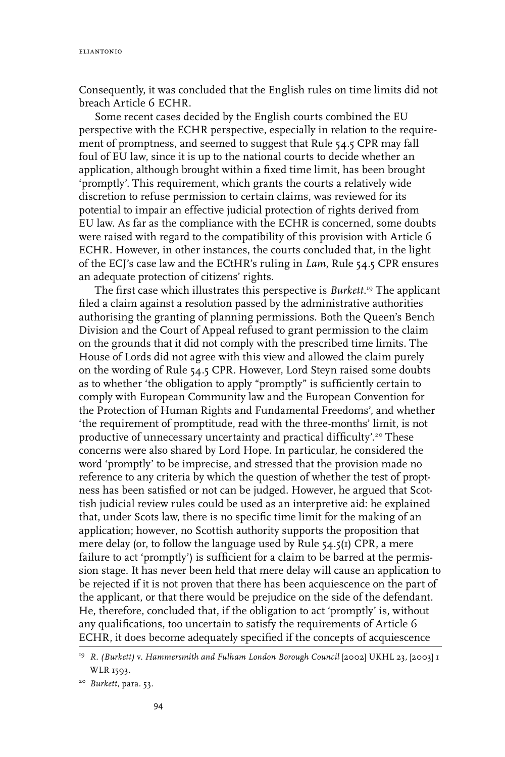Consequently, it was concluded that the English rules on time limits did not breach Article 6 ECHR.

Some recent cases decided by the English courts combined the EU perspective with the ECHR perspective, especially in relation to the requirement of promptness, and seemed to suggest that Rule 54.5 CPR may fall foul of EU law, since it is up to the national courts to decide whether an application, although brought within a fixed time limit, has been brought 'promptly'. This requirement, which grants the courts a relatively wide discretion to refuse permission to certain claims, was reviewed for its potential to impair an effective judicial protection of rights derived from EU law. As far as the compliance with the ECHR is concerned, some doubts were raised with regard to the compatibility of this provision with Article 6 ECHR. However, in other instances, the courts concluded that, in the light of the ECJ's case law and the ECtHR's ruling in *Lam*, Rule 54.5 CPR ensures an adequate protection of citizens' rights.

The first case which illustrates this perspective is *Burkett*. 19 The applicant filed a claim against a resolution passed by the administrative authorities authorising the granting of planning permissions. Both the Queen's Bench Division and the Court of Appeal refused to grant permission to the claim on the grounds that it did not comply with the prescribed time limits. The House of Lords did not agree with this view and allowed the claim purely on the wording of Rule 54.5 CPR. However, Lord Steyn raised some doubts as to whether 'the obligation to apply "promptly" is sufficiently certain to comply with European Community law and the European Convention for the Protection of Human Rights and Fundamental Freedoms', and whether 'the requirement of promptitude, read with the three-months' limit, is not productive of unnecessary uncertainty and practical difficulty'.20 These concerns were also shared by Lord Hope. In particular, he considered the word 'promptly' to be imprecise, and stressed that the provision made no reference to any criteria by which the question of whether the test of proptness has been satisfied or not can be judged. However, he argued that Scottish judicial review rules could be used as an interpretive aid: he explained that, under Scots law, there is no specific time limit for the making of an application; however, no Scottish authority supports the proposition that mere delay (or, to follow the language used by Rule 54.5(1) CPR, a mere failure to act 'promptly') is sufficient for a claim to be barred at the permission stage. It has never been held that mere delay will cause an application to be rejected if it is not proven that there has been acquiescence on the part of the applicant, or that there would be prejudice on the side of the defendant. He, therefore, concluded that, if the obligation to act 'promptly' is, without any qualifications, too uncertain to satisfy the requirements of Article 6 ECHR, it does become adequately specified if the concepts of acquiescence

<sup>19</sup> *R. (Burkett)* v. *Hammersmith and Fulham London Borough Council* [2002] UKHL 23, [2003] 1 WLR 1593.

<sup>20</sup> *Burkett*, para. 53.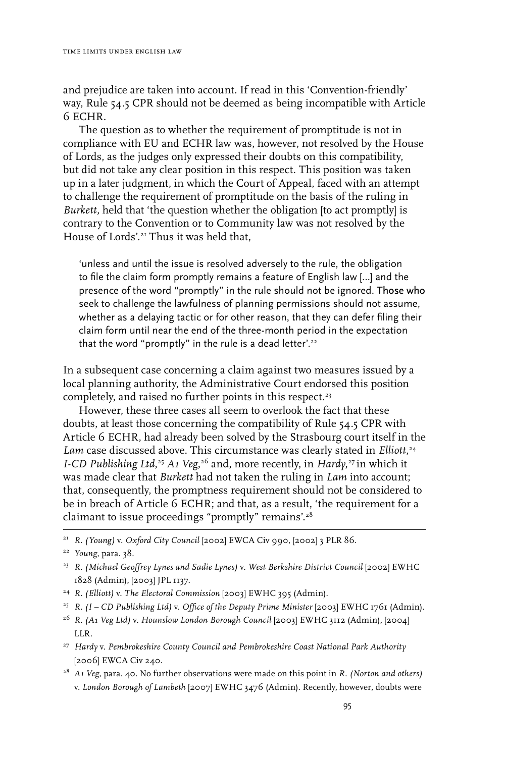and prejudice are taken into account. If read in this 'Convention-friendly' way, Rule 54.5 CPR should not be deemed as being incompatible with Article 6 ECHR.

The question as to whether the requirement of promptitude is not in compliance with EU and ECHR law was, however, not resolved by the House of Lords, as the judges only expressed their doubts on this compatibility, but did not take any clear position in this respect. This position was taken up in a later judgment, in which the Court of Appeal, faced with an attempt to challenge the requirement of promptitude on the basis of the ruling in *Burkett,* held that 'the question whether the obligation [to act promptly] is contrary to the Convention or to Community law was not resolved by the House of Lords'.21 Thus it was held that,

'unless and until the issue is resolved adversely to the rule, the obligation to file the claim form promptly remains a feature of English law […] and the presence of the word "promptly" in the rule should not be ignored. Those who seek to challenge the lawfulness of planning permissions should not assume, whether as a delaying tactic or for other reason, that they can defer filing their claim form until near the end of the three-month period in the expectation that the word "promptly" in the rule is a dead letter'.<sup>22</sup>

In a subsequent case concerning a claim against two measures issued by a local planning authority, the Administrative Court endorsed this position completely, and raised no further points in this respect.<sup>23</sup>

However, these three cases all seem to overlook the fact that these doubts, at least those concerning the compatibility of Rule 54.5 CPR with Article 6 ECHR, had already been solved by the Strasbourg court itself in the *Lam* case discussed above. This circumstance was clearly stated in *Elliott*, 24 *I-CD Publishing Ltd*,<sup>25</sup> *A1 Veg*,<sup>26</sup> and, more recently, in *Hardy*,<sup>27</sup> in which it was made clear that *Burkett* had not taken the ruling in *Lam* into account; that, consequently, the promptness requirement should not be considered to be in breach of Article 6 ECHR; and that, as a result, 'the requirement for a claimant to issue proceedings "promptly" remains'.28

- 24 *R. (Elliott)* v. *The Electoral Commission* [2003] EWHC 395 (Admin).
- 25 *R. (I CD Publishing Ltd)* v. *Office of the Deputy Prime Minister* [2003] EWHC 1761 (Admin).
- 26 *R. (A1 Veg Ltd)* v. *Hounslow London Borough Council* [2003] EWHC 3112 (Admin), [2004] LLR.
- 27 *Hardy* v. *Pembrokeshire County Council and Pembrokeshire Coast National Park Authority* [2006] EWCA Civ 240.
- 28 *A1 Veg*, para. 40. No further observations were made on this point in *R. (Norton and others)*  v. *London Borough of Lambeth* [2007] EWHC 3476 (Admin). Recently, however, doubts were

<sup>21</sup> *R. (Young)* v. *Oxford City Council* [2002] EWCA Civ 990, [2002] 3 PLR 86.

<sup>22</sup> *Young*, para. 38.

<sup>23</sup> *R. (Michael Geoffrey Lynes and Sadie Lynes)* v. *West Berkshire District Council* [2002] EWHC 1828 (Admin), [2003] JPL 1137.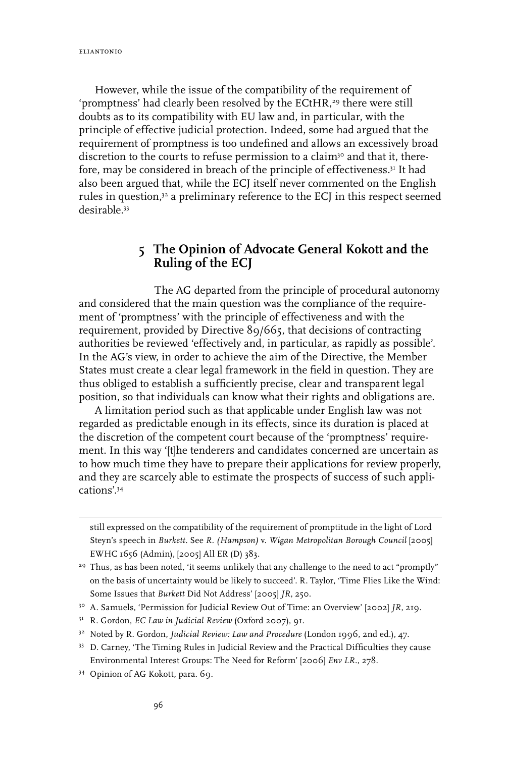eliantonio

However, while the issue of the compatibility of the requirement of 'promptness' had clearly been resolved by the ECtHR,<sup>29</sup> there were still doubts as to its compatibility with EU law and, in particular, with the principle of effective judicial protection. Indeed, some had argued that the requirement of promptness is too undefined and allows an excessively broad discretion to the courts to refuse permission to a claim<sup>30</sup> and that it, therefore, may be considered in breach of the principle of effectiveness.<sup>31</sup> It had also been argued that, while the ECJ itself never commented on the English rules in question, $32$  a preliminary reference to the ECJ in this respect seemed desirable<sup>33</sup>

### **5 The Opinion of Advocate General Kokott and the Ruling of the ECJ**

The AG departed from the principle of procedural autonomy and considered that the main question was the compliance of the requirement of 'promptness' with the principle of effectiveness and with the requirement, provided by Directive 89/665, that decisions of contracting authorities be reviewed 'effectively and, in particular, as rapidly as possible'. In the AG's view, in order to achieve the aim of the Directive, the Member States must create a clear legal framework in the field in question. They are thus obliged to establish a sufficiently precise, clear and transparent legal position, so that individuals can know what their rights and obligations are.

A limitation period such as that applicable under English law was not regarded as predictable enough in its effects, since its duration is placed at the discretion of the competent court because of the 'promptness' requirement. In this way '[t]he tenderers and candidates concerned are uncertain as to how much time they have to prepare their applications for review properly, and they are scarcely able to estimate the prospects of success of such applications'.34

still expressed on the compatibility of the requirement of promptitude in the light of Lord Steyn's speech in *Burkett*. See *R. (Hampson)* v. *Wigan Metropolitan Borough Council* [2005] EWHC 1656 (Admin), [2005] All ER (D) 383.

<sup>&</sup>lt;sup>29</sup> Thus, as has been noted, 'it seems unlikely that any challenge to the need to act "promptly" on the basis of uncertainty would be likely to succeed'. R. Taylor, 'Time Flies Like the Wind: Some Issues that *Burkett* Did Not Address' [2005] *JR*, 250.

<sup>30</sup> A. Samuels, 'Permission for Judicial Review Out of Time: an Overview' [2002] *JR*, 219.

<sup>31</sup> R. Gordon, *EC Law in Judicial Review* (Oxford 2007), 91.

<sup>32</sup> Noted by R. Gordon, *Judicial Review: Law and Procedure* (London 1996, 2nd ed.), 47.

<sup>33</sup> D. Carney, 'The Timing Rules in Judicial Review and the Practical Difficulties they cause Environmental Interest Groups: The Need for Reform' [2006] *Env LR*., 278.

<sup>34</sup> Opinion of AG Kokott, para. 69.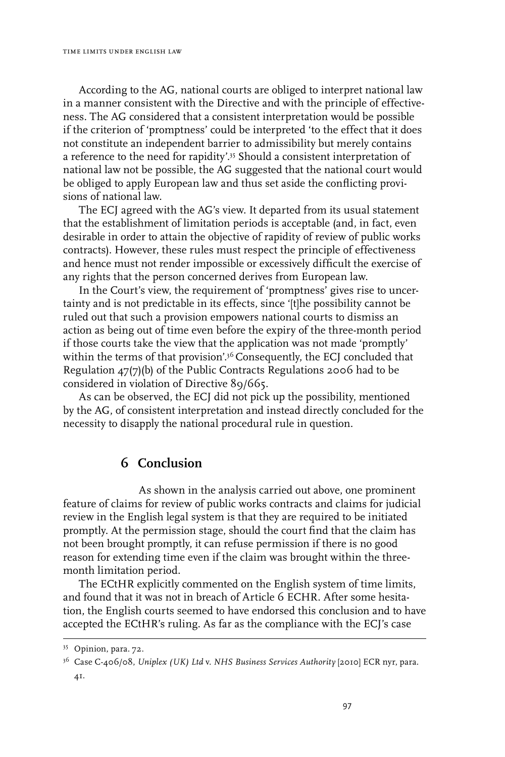According to the AG, national courts are obliged to interpret national law in a manner consistent with the Directive and with the principle of effectiveness. The AG considered that a consistent interpretation would be possible if the criterion of 'promptness' could be interpreted 'to the effect that it does not constitute an independent barrier to admissibility but merely contains a reference to the need for rapidity'.35 Should a consistent interpretation of national law not be possible, the AG suggested that the national court would be obliged to apply European law and thus set aside the conflicting provisions of national law.

The ECJ agreed with the AG's view. It departed from its usual statement that the establishment of limitation periods is acceptable (and, in fact, even desirable in order to attain the objective of rapidity of review of public works contracts). However, these rules must respect the principle of effectiveness and hence must not render impossible or excessively difficult the exercise of any rights that the person concerned derives from European law.

In the Court's view, the requirement of 'promptness' gives rise to uncertainty and is not predictable in its effects, since '[t]he possibility cannot be ruled out that such a provision empowers national courts to dismiss an action as being out of time even before the expiry of the three-month period if those courts take the view that the application was not made 'promptly' within the terms of that provision'.<sup>36</sup> Consequently, the ECJ concluded that Regulation 47(7)(b) of the Public Contracts Regulations 2006 had to be considered in violation of Directive 89/665.

As can be observed, the ECJ did not pick up the possibility, mentioned by the AG, of consistent interpretation and instead directly concluded for the necessity to disapply the national procedural rule in question.

#### **6 Conclusion**

As shown in the analysis carried out above, one prominent feature of claims for review of public works contracts and claims for judicial review in the English legal system is that they are required to be initiated promptly. At the permission stage, should the court find that the claim has not been brought promptly, it can refuse permission if there is no good reason for extending time even if the claim was brought within the threemonth limitation period.

The ECtHR explicitly commented on the English system of time limits, and found that it was not in breach of Article 6 ECHR. After some hesitation, the English courts seemed to have endorsed this conclusion and to have accepted the ECtHR's ruling. As far as the compliance with the ECJ's case

<sup>35</sup> Opinion, para. 72.

<sup>36</sup> Case C-406/08, *Uniplex (UK) Ltd* v. *NHS Business Services Authority* [2010] ECR nyr, para. 41.